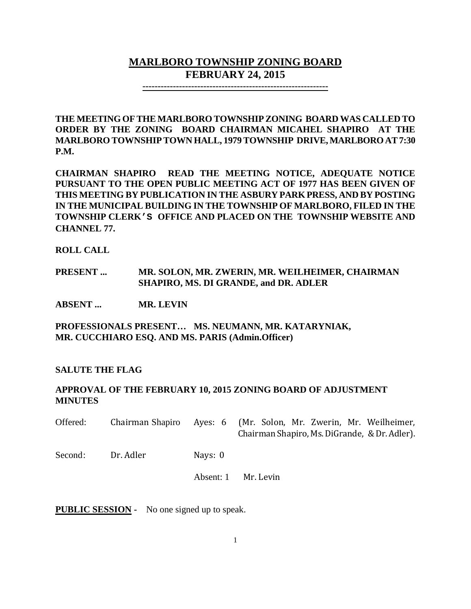# **MARLBORO TOWNSHIP ZONING BOARD FEBRUARY 24, 2015**

**-------------------------------------------------------------**

**THE MEETING OF THE MARLBORO TOWNSHIP ZONING BOARD WAS CALLED TO ORDER BY THE ZONING BOARD CHAIRMAN MICAHEL SHAPIRO AT THE MARLBORO TOWNSHIPTOWN HALL, 1979 TOWNSHIP DRIVE, MARLBORO AT 7:30 P.M.**

**CHAIRMAN SHAPIRO READ THE MEETING NOTICE, ADEQUATE NOTICE PURSUANT TO THE OPEN PUBLIC MEETING ACT OF 1977 HAS BEEN GIVEN OF THIS MEETING BY PUBLICATION IN THE ASBURY PARK PRESS, AND BY POSTING IN THE MUNICIPAL BUILDING IN THE TOWNSHIP OF MARLBORO, FILED IN THE TOWNSHIP CLERK'S OFFICE AND PLACED ON THE TOWNSHIP WEBSITE AND CHANNEL 77.**

**ROLL CALL**

**PRESENT ... MR. SOLON, MR. ZWERIN, MR. WEILHEIMER, CHAIRMAN SHAPIRO, MS. DI GRANDE, and DR. ADLER**

**ABSENT ... MR. LEVIN**

**PROFESSIONALS PRESENT… MS. NEUMANN, MR. KATARYNIAK, MR. CUCCHIARO ESQ. AND MS. PARIS (Admin.Officer)**

## **SALUTE THE FLAG**

### **APPROVAL OF THE FEBRUARY 10, 2015 ZONING BOARD OF ADJUSTMENT MINUTES**

| Offered: | Chairman Shapiro |           | Ayes: 6 (Mr. Solon, Mr. Zwerin, Mr. Weilheimer,<br>Chairman Shapiro, Ms. DiGrande, & Dr. Adler). |
|----------|------------------|-----------|--------------------------------------------------------------------------------------------------|
| Second:  | Dr. Adler        | Nays: 0   |                                                                                                  |
|          |                  | Absent: 1 | Mr. Levin                                                                                        |

**PUBLIC SESSION -** No one signed up to speak.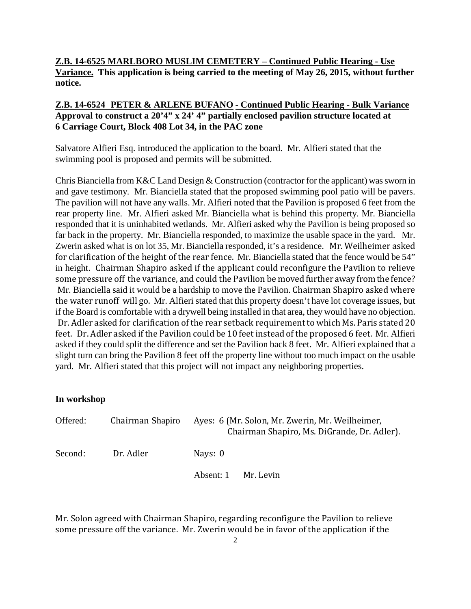**Z.B. 14-6525 MARLBORO MUSLIM CEMETERY – Continued Public Hearing - Use Variance. This application is being carried to the meeting of May 26, 2015, without further notice.**

## **Z.B. 14-6524 PETER & ARLENE BUFANO - Continued Public Hearing - Bulk Variance Approval to construct a 20'4" x 24' 4" partially enclosed pavilion structure located at 6 Carriage Court, Block 408 Lot 34, in the PAC zone**

Salvatore Alfieri Esq. introduced the application to the board. Mr. Alfieri stated that the swimming pool is proposed and permits will be submitted.

Chris Bianciella from K&C Land Design & Construction (contractor for the applicant) was sworn in and gave testimony. Mr. Bianciella stated that the proposed swimming pool patio will be pavers. The pavilion will not have any walls. Mr. Alfieri noted that the Pavilion is proposed 6 feet from the rear property line. Mr. Alfieri asked Mr. Bianciella what is behind this property. Mr. Bianciella responded that it is uninhabited wetlands. Mr. Alfieri asked why the Pavilion is being proposed so far back in the property. Mr. Bianciella responded, to maximize the usable space in the yard. Mr. Zwerin asked what is on lot 35, Mr. Bianciella responded, it's a residence. Mr. Weilheimer asked for clarification of the height of the rear fence. Mr. Bianciella stated that the fence would be 54" in height. Chairman Shapiro asked if the applicant could reconfigure the Pavilion to relieve some pressure off the variance, and could the Pavilion be moved further away from the fence? Mr. Bianciella said it would be a hardship to move the Pavilion. Chairman Shapiro asked where the water runoff will go. Mr. Alfieri stated that this property doesn't have lot coverage issues, but if the Board is comfortable with a drywell being installed in that area, they would have no objection. Dr. Adler asked for clarification of the rear setback requirement to which Ms. Paris stated 20 feet. Dr. Adler asked if the Pavilion could be 10 feet instead of the proposed 6 feet. Mr. Alfieri asked if they could split the difference and set the Pavilion back 8 feet. Mr. Alfieri explained that a slight turn can bring the Pavilion 8 feet off the property line without too much impact on the usable yard. Mr. Alfieri stated that this project will not impact any neighboring properties.

### **In workshop**

| Offered: | Chairman Shapiro | Ayes: 6 (Mr. Solon, Mr. Zwerin, Mr. Weilheimer,<br>Chairman Shapiro, Ms. DiGrande, Dr. Adler). |
|----------|------------------|------------------------------------------------------------------------------------------------|
| Second:  | Dr. Adler        | Nays: 0                                                                                        |
|          |                  | Absent: 1<br>Mr. Levin                                                                         |

Mr. Solon agreed with Chairman Shapiro, regarding reconfigure the Pavilion to relieve some pressure off the variance. Mr. Zwerin would be in favor of the application if the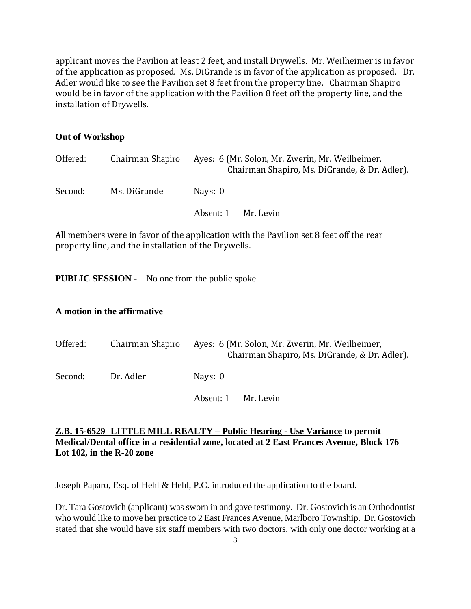applicant moves the Pavilion at least 2 feet, and install Drywells. Mr. Weilheimer is in favor of the application as proposed. Ms. DiGrande is in favor of the application as proposed. Dr. Adler would like to see the Pavilion set 8 feet from the property line. Chairman Shapiro would be in favor of the application with the Pavilion 8 feet off the property line, and the installation of Drywells.

#### **Out of Workshop**

| Offered: | Chairman Shapiro | Ayes: 6 (Mr. Solon, Mr. Zwerin, Mr. Weilheimer,<br>Chairman Shapiro, Ms. DiGrande, & Dr. Adler). |
|----------|------------------|--------------------------------------------------------------------------------------------------|
| Second:  | Ms. DiGrande     | Nays: 0                                                                                          |
|          |                  | Mr. Levin<br>Absent: 1                                                                           |

All members were in favor of the application with the Pavilion set 8 feet off the rear property line, and the installation of the Drywells.

**PUBLIC SESSION -** No one from the public spoke

#### **A motion in the affirmative**

| Offered: | Chairman Shapiro | Ayes: 6 (Mr. Solon, Mr. Zwerin, Mr. Weilheimer,<br>Chairman Shapiro, Ms. DiGrande, & Dr. Adler). |
|----------|------------------|--------------------------------------------------------------------------------------------------|
| Second:  | Dr. Adler        | Nays: 0                                                                                          |
|          |                  | Absent: 1<br>Mr. Levin                                                                           |

## **Z.B. 15-6529 LITTLE MILL REALTY – Public Hearing - Use Variance to permit Medical/Dental office in a residential zone, located at 2 East Frances Avenue, Block 176 Lot 102, in the R-20 zone**

Joseph Paparo, Esq. of Hehl & Hehl, P.C. introduced the application to the board.

Dr. Tara Gostovich (applicant) was sworn in and gave testimony. Dr. Gostovich is an Orthodontist who would like to move her practice to 2 East Frances Avenue, Marlboro Township. Dr. Gostovich stated that she would have six staff members with two doctors, with only one doctor working at a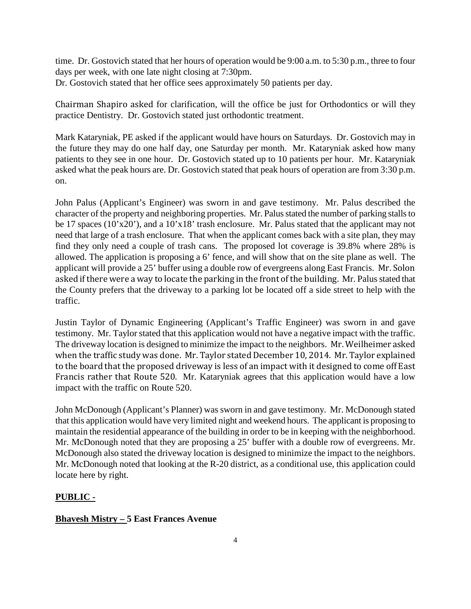time. Dr. Gostovich stated that her hours of operation would be 9:00 a.m. to 5:30 p.m., three to four days per week, with one late night closing at 7:30pm. Dr. Gostovich stated that her office sees approximately 50 patients per day.

Chairman Shapiro asked for clarification, will the office be just for Orthodontics or will they practice Dentistry. Dr. Gostovich stated just orthodontic treatment.

Mark Kataryniak, PE asked if the applicant would have hours on Saturdays. Dr. Gostovich may in the future they may do one half day, one Saturday per month. Mr. Kataryniak asked how many patients to they see in one hour. Dr. Gostovich stated up to 10 patients per hour. Mr. Kataryniak asked what the peak hours are. Dr. Gostovich stated that peak hours of operation are from 3:30 p.m. on.

John Palus (Applicant's Engineer) was sworn in and gave testimony. Mr. Palus described the character of the property and neighboring properties. Mr. Palusstated the number of parking stalls to be 17 spaces (10'x20'), and a 10'x18' trash enclosure. Mr. Palus stated that the applicant may not need that large of a trash enclosure. That when the applicant comes back with a site plan, they may find they only need a couple of trash cans. The proposed lot coverage is 39.8% where 28% is allowed. The application is proposing a 6' fence, and will show that on the site plane as well. The applicant will provide a 25' buffer using a double row of evergreens along East Francis. Mr. Solon asked if there were a way to locate the parking in the front of the building. Mr. Palus stated that the County prefers that the driveway to a parking lot be located off a side street to help with the traffic.

Justin Taylor of Dynamic Engineering (Applicant's Traffic Engineer) was sworn in and gave testimony. Mr. Taylor stated that this application would not have a negative impact with the traffic. The driveway location is designed to minimize the impact to the neighbors. Mr. Weilheimer asked when the traffic study was done. Mr. Taylor stated December 10, 2014. Mr. Taylor explained to the board that the proposed driveway is less of an impact with it designed to come off East Francis rather that Route 520. Mr. Kataryniak agrees that this application would have a low impact with the traffic on Route 520.

John McDonough (Applicant's Planner) was sworn in and gave testimony. Mr. McDonough stated that this application would have very limited night and weekend hours. The applicant is proposing to maintain the residential appearance of the building in order to be in keeping with the neighborhood. Mr. McDonough noted that they are proposing a 25' buffer with a double row of evergreens. Mr. McDonough also stated the driveway location is designed to minimize the impact to the neighbors. Mr. McDonough noted that looking at the R-20 district, as a conditional use, this application could locate here by right.

### **PUBLIC -**

### **Bhavesh Mistry – 5 East Frances Avenue**